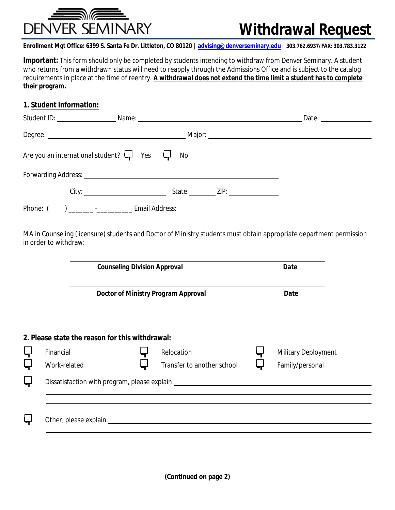

## **Withdrawal Request**

Enrollment Mgt Office: 6399 S. Santa Fe Dr. Littleton, CO 80120 | advising@denverseminary.edu | 303.762.6937/FAX: 303.783.3122

**Important:** This form should only be completed by students intending to withdraw from Denver Seminary. A student who returns from a withdrawn status will need to reapply through the Admissions Office and is subject to the catalog requirements in place at the time of reentry. A withdrawal does not extend the time limit a student has to complete their program.

## 1. Student Information:

| Student D: Name: Name: Name:                                         |                                                                                                   |  |
|----------------------------------------------------------------------|---------------------------------------------------------------------------------------------------|--|
| Degree: Major: Major: Major: Major: Major: Major: Major: Major: 2014 |                                                                                                   |  |
| Are you an international student? $\downarrow$ Yes $\downarrow$ No   |                                                                                                   |  |
|                                                                      |                                                                                                   |  |
|                                                                      | City: $\qquad \qquad \qquad$ State: $\qquad \qquad$ ZIP:                                          |  |
| Phone: (                                                             | <b>Example 2016 Example 2016 Example 2016 Example 2016 Example 2016 Example 2016 Example 2016</b> |  |

MA in Counseling (licensure) students and Doctor of Ministry students must obtain appropriate department permission in order to withdraw:

|                                                 | <b>Counseling Division Approval</b> |                                                                                  |             | <b>Date</b>                |  |
|-------------------------------------------------|-------------------------------------|----------------------------------------------------------------------------------|-------------|----------------------------|--|
| <b>Doctor of Ministry Program Approval</b>      |                                     |                                                                                  | <b>Date</b> |                            |  |
| 2. Please state the reason for this withdrawal: |                                     |                                                                                  |             |                            |  |
| <b>Financial</b>                                |                                     | <b>Relocation</b>                                                                |             | <b>Military Deployment</b> |  |
| <b>Work-related</b>                             |                                     | <b>Transfer to another school</b>                                                |             | Family/personal            |  |
|                                                 |                                     | Dissatisfaction with program, please explain ___________________________________ |             |                            |  |
|                                                 |                                     |                                                                                  |             |                            |  |
|                                                 |                                     |                                                                                  |             |                            |  |
|                                                 |                                     |                                                                                  |             |                            |  |